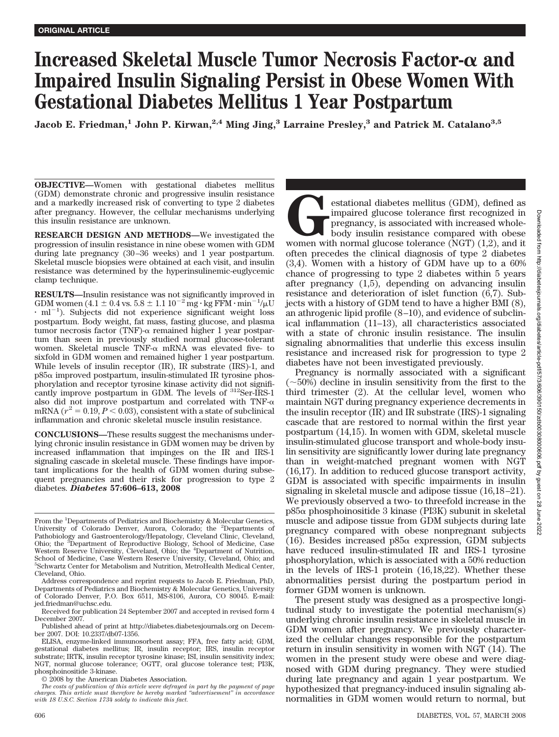# **Increased Skeletal Muscle Tumor Necrosis Factor-** α and **Impaired Insulin Signaling Persist in Obese Women With Gestational Diabetes Mellitus 1 Year Postpartum**

**Jacob E. Friedman,**<sup>1</sup> **John P. Kirwan,**<sup>2,4</sup> **Ming Jing,**<sup>3</sup> **Larraine Presley,**<sup>3</sup> and Patrick M. Catalano<sup>3,5</sup>

**OBJECTIVE—**Women with gestational diabetes mellitus (GDM) demonstrate chronic and progressive insulin resistance and a markedly increased risk of converting to type 2 diabetes after pregnancy. However, the cellular mechanisms underlying this insulin resistance are unknown.

**RESEARCH DESIGN AND METHODS—**We investigated the progression of insulin resistance in nine obese women with GDM during late pregnancy (30–36 weeks) and 1 year postpartum. Skeletal muscle biopsies were obtained at each visit, and insulin resistance was determined by the hyperinsulinemic-euglycemic clamp technique.

**RESULTS—**Insulin resistance was not significantly improved in GDM women  $(4.1 \pm 0.4 \text{ vs. } 5.8 \pm 1.1 \text{ 10}^{-2} \text{ mg} \cdot \text{kg FFM} \cdot \text{min}^{-1}/\mu\text{U}$  $\cdot$  ml<sup>-1</sup>). Subjects did not experience significant weight loss postpartum. Body weight, fat mass, fasting glucose, and plasma tumor necrosis factor (TNF)- $\alpha$  remained higher 1 year postpartum than seen in previously studied normal glucose-tolerant women. Skeletal muscle TNF- $\alpha$  mRNA was elevated five- to sixfold in GDM women and remained higher 1 year postpartum. While levels of insulin receptor (IR), IR substrate (IRS)-1, and  $p85\alpha$  improved postpartum, insulin-stimulated IR tyrosine phosphorylation and receptor tyrosine kinase activity did not significantly improve postpartum in GDM. The levels of 312Ser-IRS-1 also did not improve postpartum and correlated with  $TNF-\alpha$ mRNA ( $r^2 = 0.19$ ,  $P < 0.03$ ), consistent with a state of subclinical inflammation and chronic skeletal muscle insulin resistance.

**CONCLUSIONS—**These results suggest the mechanisms underlying chronic insulin resistance in GDM women may be driven by increased inflammation that impinges on the IR and IRS-1 signaling cascade in skeletal muscle. These findings have important implications for the health of GDM women during subsequent pregnancies and their risk for progression to type 2 diabetes. *Diabetes* **57:606–613, 2008**

estational diabetes mellitus (GDM), defined as<br>impaired glucose tolerance first recognized in<br>pregnancy, is associated with increased whole-<br>body insulin resistance compared with obese<br>women with normal glucose tolerance ( impaired glucose tolerance first recognized in pregnancy, is associated with increased wholebody insulin resistance compared with obese women with normal glucose tolerance (NGT) (1,2), and it often precedes the clinical diagnosis of type 2 diabetes (3,4). Women with a history of GDM have up to a 60% chance of progressing to type 2 diabetes within 5 years after pregnancy (1,5), depending on advancing insulin resistance and deterioration of islet function (6,7). Subjects with a history of GDM tend to have a higher BMI (8), an athrogenic lipid profile (8–10), and evidence of subclinical inflammation (11–13), all characteristics associated with a state of chronic insulin resistance. The insulin signaling abnormalities that underlie this excess insulin resistance and increased risk for progression to type 2 diabetes have not been investigated previously.

Pregnancy is normally associated with a significant  $(\sim 50\%)$  decline in insulin sensitivity from the first to the third trimester (2). At the cellular level, women who maintain NGT during pregnancy experience decrements in the insulin receptor (IR) and IR substrate (IRS)-1 signaling cascade that are restored to normal within the first year postpartum (14,15). In women with GDM, skeletal muscle insulin-stimulated glucose transport and whole-body insulin sensitivity are significantly lower during late pregnancy than in weight-matched pregnant women with NGT (16,17). In addition to reduced glucose transport activity, GDM is associated with specific impairments in insulin signaling in skeletal muscle and adipose tissue (16,18–21). We previously observed a two- to threefold increase in the  $p85\alpha$  phosphoinositide 3 kinase (PI3K) subunit in skeletal muscle and adipose tissue from GDM subjects during late pregnancy compared with obese nonpregnant subjects (16). Besides increased  $p85\alpha$  expression, GDM subjects have reduced insulin-stimulated IR and IRS-1 tyrosine phosphorylation, which is associated with a 50% reduction in the levels of IRS-1 protein (16,18,22). Whether these abnormalities persist during the postpartum period in former GDM women is unknown.

The present study was designed as a prospective longitudinal study to investigate the potential mechanism(s) underlying chronic insulin resistance in skeletal muscle in GDM women after pregnancy. We previously characterized the cellular changes responsible for the postpartum return in insulin sensitivity in women with NGT (14). The women in the present study were obese and were diagnosed with GDM during pregnancy. They were studied during late pregnancy and again 1 year postpartum. We hypothesized that pregnancy-induced insulin signaling abnormalities in GDM women would return to normal, but

From the <sup>1</sup>Departments of Pediatrics and Biochemistry & Molecular Genetics, University of Colorado Denver, Aurora, Colorado; the <sup>2</sup>Departments of Pathobiology and Gastroenterology/Hepatology, Cleveland Clinic, Cleveland, Ohio; the <sup>3</sup>Department of Reproductive Biology, School of Medicine, Case Western Reserve University, Cleveland, Ohio; the <sup>4</sup>Department of Nutrition, School of Medicine, Case Western Reserve University, Cleveland, Ohio; and 5 Schwartz Center for Metabolism and Nutrition, MetroHealth Medical Center, Cleveland, Ohio.

Address correspondence and reprint requests to Jacob E. Friedman, PhD, Departments of Pediatrics and Biochemistry & Molecular Genetics, University of Colorado Denver, P.O. Box 6511, MS-8106, Aurora, CO 80045. E-mail: jed.friedman@uchsc.edu.

Received for publication 24 September 2007 and accepted in revised form 4 December 2007.

Published ahead of print at http://diabetes.diabetesjournals.org on December 2007. DOI: 10.2337/db07-1356.

ELISA, enzyme-linked immunosorbent assay; FFA, free fatty acid; GDM, gestational diabetes mellitus; IR, insulin receptor; IRS, insulin receptor substrate; IRTK, insulin receptor tyrosine kinase; ISI, insulin sensitivity index; NGT, normal glucose tolerance; OGTT, oral glucose tolerance test; PI3K, phosphoinositide 3-kinase.

<sup>© 2008</sup> by the American Diabetes Association.

*The costs of publication of this article were defrayed in part by the payment of page charges. This article must therefore be hereby marked "advertisement" in accordance with 18 U.S.C. Section 1734 solely to indicate this fact.*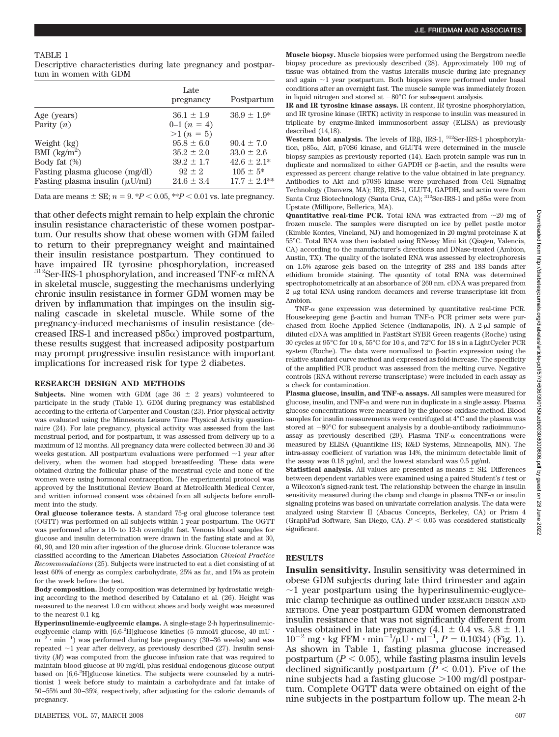#### TABLE 1

Descriptive characteristics during late pregnancy and postpartum in women with GDM

|                                     | Late<br>pregnancy | Postpartum      |
|-------------------------------------|-------------------|-----------------|
| Age (years)                         | $36.1 \pm 1.9$    | $36.9 \pm 1.9*$ |
| Parity $(n)$                        | $0-1(n=4)$        |                 |
|                                     | $>1 (n = 5)$      |                 |
| Weight (kg)                         | $95.8 \pm 6.0$    | $90.4 \pm 7.0$  |
| BMI $\frac{\text{kg}}{\text{m}^2}$  | $35.2 \pm 2.0$    | $33.0 \pm 2.6$  |
| Body fat $(\%)$                     | $39.2 \pm 1.7$    | $42.6 \pm 2.1*$ |
| Fasting plasma glucose (mg/dl)      | $92 + 2$          | $105 \pm 5^*$   |
| Fasting plasma insulin $(\mu U/ml)$ | $24.6 \pm 3.4$    | $17.7 + 2.4**$  |

Data are means  $\pm$  SE;  $n = 9$ . \* $P < 0.05$ , \*\* $P < 0.01$  vs. late pregnancy.

that other defects might remain to help explain the chronic insulin resistance characteristic of these women postpartum. Our results show that obese women with GDM failed to return to their prepregnancy weight and maintained their insulin resistance postpartum. They continued to have impaired IR tyrosine phosphorylation, increased  $^{312}$ Ser-IRS-1 phosphorylation, and increased TNF- $\alpha$  mRNA in skeletal muscle, suggesting the mechanisms underlying chronic insulin resistance in former GDM women may be driven by inflammation that impinges on the insulin signaling cascade in skeletal muscle. While some of the pregnancy-induced mechanisms of insulin resistance (decreased IRS-1 and increased  $p85\alpha$ ) improved postpartum, these results suggest that increased adiposity postpartum may prompt progressive insulin resistance with important implications for increased risk for type 2 diabetes.

## **RESEARCH DESIGN AND METHODS**

**Subjects.** Nine women with GDM (age  $36 \pm 2$  years) volunteered to participate in the study (Table 1). GDM during pregnancy was established according to the criteria of Carpenter and Coustan (23). Prior physical activity was evaluated using the Minnesota Leisure Time Physical Activity questionnaire (24). For late pregnancy, physical activity was assessed from the last menstrual period, and for postpartum, it was assessed from delivery up to a maximum of 12 months. All pregnancy data were collected between 30 and 36 weeks gestation. All postpartum evaluations were performed  $\sim$ 1 year after delivery, when the women had stopped breastfeeding. These data were obtained during the follicular phase of the menstrual cycle and none of the women were using hormonal contraception. The experimental protocol was approved by the Institutional Review Board at MetroHealth Medical Center, and written informed consent was obtained from all subjects before enrollment into the study.

**Oral glucose tolerance tests.** A standard 75-g oral glucose tolerance test (OGTT) was performed on all subjects within 1 year postpartum. The OGTT was performed after a 10- to 12-h overnight fast. Venous blood samples for glucose and insulin determination were drawn in the fasting state and at 30, 60, 90, and 120 min after ingestion of the glucose drink. Glucose tolerance was classified according to the American Diabetes Association *Clinical Practice Recommendations* (25). Subjects were instructed to eat a diet consisting of at least 60% of energy as complex carbohydrate, 25% as fat, and 15% as protein for the week before the test.

**Body composition.** Body composition was determined by hydrostatic weighing according to the method described by Catalano et al. (26). Height was measured to the nearest 1.0 cm without shoes and body weight was measured to the nearest 0.1 kg.

**Hyperinsulinemic-euglycemic clamps.** A single-stage 2-h hyperinsulinemiceuglycemic clamp with  $[6,6^2H]$ glucose kinetics (5 mmol/l glucose, 40 mU ·  $m^{-2} \cdot min^{-1}$  was performed during late pregnancy (30–36 weeks) and was repeated  $\sim$ 1 year after delivery, as previously described (27). Insulin sensitivity (*M*) was computed from the glucose infusion rate that was required to maintain blood glucose at 90 mg/dl, plus residual endogenous glucose output based on [6,6-<sup>2</sup> H]glucose kinetics. The subjects were counseled by a nutritionist 1 week before study to maintain a carbohydrate and fat intake of 50–55% and 30–35%, respectively, after adjusting for the caloric demands of pregnancy.

**Muscle biopsy.** Muscle biopsies were performed using the Bergstrom needle biopsy procedure as previously described (28). Approximately 100 mg of tissue was obtained from the vastus lateralis muscle during late pregnancy and again  $\sim$ 1 year postpartum. Both biopsies were performed under basal conditions after an overnight fast. The muscle sample was immediately frozen in liquid nitrogen and stored at  $-80^{\circ}$ C for subsequent analysis.

**IR and IR tyrosine kinase assays.** IR content, IR tyrosine phosphorylation, and IR tyrosine kinase (IRTK) activity in response to insulin was measured in triplicate by enzyme-linked immunosorbent assay (ELISA) as previously described (14,18).

Western blot analysis. The levels of IR<sub>B</sub>, IRS-1, <sup>312</sup>Ser-IRS-1 phosphorylation,  $p85\alpha$ , Akt,  $p70S6$  kinase, and GLUT4 were determined in the muscle biopsy samples as previously reported (14). Each protein sample was run in duplicate and normalized to either GAPDH or  $\beta$ -actin, and the results were expressed as percent change relative to the value obtained in late pregnancy. Antibodies to Akt and p70S6 kinase were purchased from Cell Signaling Technology (Danvers, MA); IRß, IRS-1, GLUT4, GAPDH, and actin were from Santa Cruz Biotechnology (Santa Cruz, CA);  ${}^{312}$ Ser-IRS-1 and p85 $\alpha$  were from Upstate (Millipore, Bellerica, MA).

**Quantitative real-time PCR.** Total RNA was extracted from  $\sim$ 20 mg of frozen muscle. The samples were disrupted on ice by pellet pestle motor (Kimble Kontes, Vineland, NJ) and homogenized in 20 mg/ml proteinase K at 55°C. Total RNA was then isolated using RNeasy Mini kit (Qiagen, Valencia, CA) according to the manufacturer's directions and DNase-treated (Ambion, Austin, TX). The quality of the isolated RNA was assessed by electrophoresis on 1.5% agarose gels based on the integrity of 28S and 18S bands after ethidium bromide staining. The quantity of total RNA was determined spectrophotometrically at an absorbance of 260 nm. cDNA was prepared from 2 µg total RNA using random decamers and reverse transcriptase kit from Ambion.

TNF- $\alpha$  gene expression was determined by quantitative real-time PCR. Housekeeping gene  $\beta$ -actin and human TNF- $\alpha$  PCR primer sets were purchased from Roche Applied Science (Indianapolis, IN). A 2-µl sample of diluted cDNA was amplified in FastStart SYBR Green reagents (Roche) using 30 cycles at 95°C for 10 s, 55°C for 10 s, and 72°C for 18 s in a LightCycler PCR system (Roche). The data were normalized to  $\beta$ -actin expression using the relative standard curve method and expressed as fold-increase. The specificity of the amplified PCR product was assessed from the melting curve. Negative controls (RNA without reverse transcriptase) were included in each assay as a check for contamination.

Plasma glucose, insulin, and TNF- $\alpha$  assays. All samples were measured for glucose, insulin, and TNF- $\alpha$  and were run in duplicate in a single assay. Plasma glucose concentrations were measured by the glucose oxidase method. Blood samples for insulin measurements were centrifuged at 4°C and the plasma was stored at  $-80^{\circ}$ C for subsequent analysis by a double-antibody radioimmunoassay as previously described  $(29)$ . Plasma TNF- $\alpha$  concentrations were measured by ELISA (Quantikine HS; R&D Systems, Minneapolis, MN). The intra-assay coefficient of variation was 14%, the minimum detectable limit of the assay was 0.18 pg/ml, and the lowest standard was 0.5 pg/ml.

**Statistical analysis.** All values are presented as means  $\pm$  SE. Differences between dependent variables were examined using a paired Student's *t* test or a Wilcoxon's signed-rank test. The relationship between the change in insulin sensitivity measured during the clamp and change in plasma TNF- $\alpha$  or insulin signaling proteins was based on univariate correlation analysis. The data were analyzed using Statview II (Abacus Concepts, Berkeley, CA) or Prism 4 (GraphPad Software, San Diego, CA).  $P < 0.05$  was considered statistically significant.

#### **RESULTS**

**Insulin sensitivity.** Insulin sensitivity was determined in obese GDM subjects during late third trimester and again  $\sim$ 1 year postpartum using the hyperinsulinemic-euglycemic clamp technique as outlined under RESEARCH DESIGN AND METHODS. One year postpartum GDM women demonstrated insulin resistance that was not significantly different from values obtained in late pregnancy  $(4.1 \pm 0.4 \text{ vs. } 5.8 \pm 1.1$  $10^{-2}$  mg · kg FFM · min<sup>-1</sup>/ $\mu$ U · ml<sup>-1</sup>, *P* = 0.1034) (Fig. 1). As shown in Table 1, fasting plasma glucose increased postpartum  $(P < 0.05)$ , while fasting plasma insulin levels declined significantly postpartum  $(P < 0.01)$ . Five of the nine subjects had a fasting glucose  $>100$  mg/dl postpartum. Complete OGTT data were obtained on eight of the nine subjects in the postpartum follow up. The mean 2-h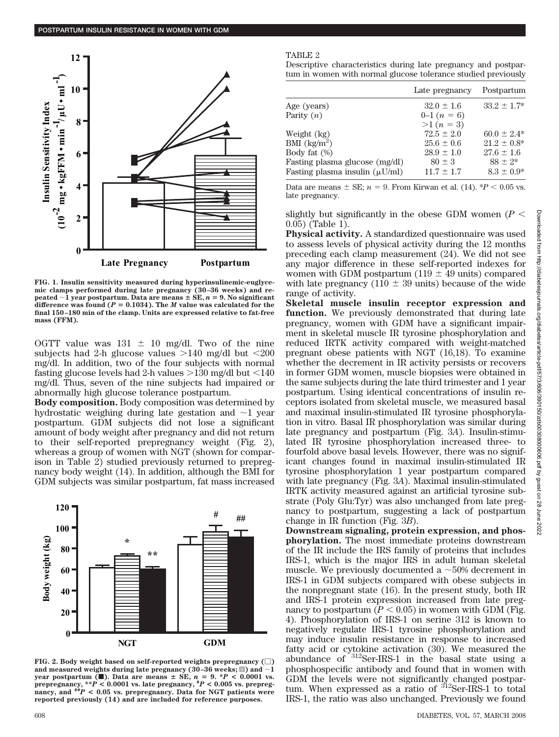

**FIG. 1. Insulin sensitivity measured during hyperinsulinemic-euglycemic clamps performed during late pregnancy (30–36 weeks) and re-** $\text{pected } \sim 1 \text{ year postpartum.}$  Data are means  $\pm \text{ SE}, n = 9$ . No significant difference was found  $(P = 0.1034)$ . The *M* value was calculated for the **final 150–180 min of the clamp. Units are expressed relative to fat-free mass (FFM).**

OGTT value was  $131 \pm 10$  mg/dl. Two of the nine subjects had 2-h glucose values  $>140$  mg/dl but  $<200$ mg/dl. In addition, two of the four subjects with normal fasting glucose levels had 2-h values  $>130$  mg/dl but  $<140$ mg/dl. Thus, seven of the nine subjects had impaired or abnormally high glucose tolerance postpartum.

**Body composition.** Body composition was determined by hydrostatic weighing during late gestation and  $\sim$ 1 year postpartum. GDM subjects did not lose a significant amount of body weight after pregnancy and did not return to their self-reported prepregnancy weight (Fig. 2), whereas a group of women with NGT (shown for comparison in Table 2) studied previously returned to prepregnancy body weight (14). In addition, although the BMI for GDM subjects was similar postpartum, fat mass increased



FIG. 2. Body weight based on self-reported weights prepregnancy  $(\Box)$ and measured weights during late pregnancy (30–36 weeks;  $\equiv$  ) and  $\sim$  1 **year postpartum (** $\blacksquare$ **). Data are means**  $\pm$  **SE,**  $n = 9$ .  $\ast P < 0.0001$  vs. prepregnancy, \*\* $\overline{P}$  < 0.0001 vs. late pregnancy, \* $P$  < 0.005 vs. prepregnancy, and \*\* $\overline{P}$  < 0.05 vs. prepregnancy. Data for NGT patients were **reported previously (14) and are included for reference purposes.**

#### TABLE 2

Descriptive characteristics during late pregnancy and postpartum in women with normal glucose tolerance studied previously

|                                     | Late pregnancy | Postpartum       |
|-------------------------------------|----------------|------------------|
| Age (years)                         | $32.0 \pm 1.6$ | $33.2 \pm 1.7^*$ |
| Parity $(n)$                        | $0-1(n=6)$     |                  |
|                                     | $>1 (n = 3)$   |                  |
| Weight (kg)                         | $72.5 \pm 2.0$ | $60.0 \pm 2.4*$  |
| BMI $\left({\rm kg/m^2}\right)$     | $25.6 \pm 0.6$ | $21.2 \pm 0.8^*$ |
| Body fat $(\%)$                     | $28.9 \pm 1.0$ | $27.6 \pm 1.6$   |
| Fasting plasma glucose (mg/dl)      | $80 \pm 3$     | $88 + 2*$        |
| Fasting plasma insulin $(\mu U/ml)$ | $11.7 \pm 1.7$ | $8.3 \pm 0.9*$   |

Data are means  $\pm$  SE;  $n = 9$ . From Kirwan et al. (14). \**P* < 0.05 vs. late pregnancy.

slightly but significantly in the obese GDM women  $(P <$ 0.05) (Table 1).

**Physical activity.** A standardized questionnaire was used to assess levels of physical activity during the 12 months preceding each clamp measurement (24). We did not see any major difference in these self-reported indexes for women with GDM postpartum (119  $\pm$  49 units) compared with late pregnancy (110  $\pm$  39 units) because of the wide range of activity.

**Skeletal muscle insulin receptor expression and function.** We previously demonstrated that during late pregnancy, women with GDM have a significant impairment in skeletal muscle IR tyrosine phosphorylation and reduced IRTK activity compared with weight-matched pregnant obese patients with NGT (16,18). To examine whether the decrement in IR activity persists or recovers in former GDM women, muscle biopsies were obtained in the same subjects during the late third trimester and 1 year postpartum. Using identical concentrations of insulin receptors isolated from skeletal muscle, we measured basal and maximal insulin-stimulated IR tyrosine phosphorylation in vitro. Basal IR phosphorylation was similar during late pregnancy and postpartum (Fig. 3*A*). Insulin-stimulated IR tyrosine phosphorylation increased three- to fourfold above basal levels. However, there was no significant changes found in maximal insulin-stimulated IR tyrosine phosphorylation 1 year postpartum compared with late pregnancy (Fig. 3*A*). Maximal insulin-stimulated IRTK activity measured against an artificial tyrosine substrate (Poly Glu:Tyr) was also unchanged from late pregnancy to postpartum, suggesting a lack of postpartum change in IR function (Fig. 3*B*).

**Downstream signaling, protein expression, and phosphorylation.** The most immediate proteins downstream of the IR include the IRS family of proteins that includes IRS-1, which is the major IRS in adult human skeletal muscle. We previously documented a  $\sim$  50% decrement in IRS-1 in GDM subjects compared with obese subjects in the nonpregnant state (16). In the present study, both IR and IRS-1 protein expression increased from late pregnancy to postpartum  $(P < 0.05)$  in women with GDM (Fig. 4). Phosphorylation of IRS-1 on serine 312 is known to negatively regulate IRS-1 tyrosine phosphorylation and may induce insulin resistance in response to increased fatty acid or cytokine activation (30). We measured the abundance of 312Ser-IRS-1 in the basal state using a phosphospecific antibody and found that in women with GDM the levels were not significantly changed postpartum. When expressed as a ratio of <sup>312</sup>Ser-IRS-1 to total IRS-1, the ratio was also unchanged. Previously we found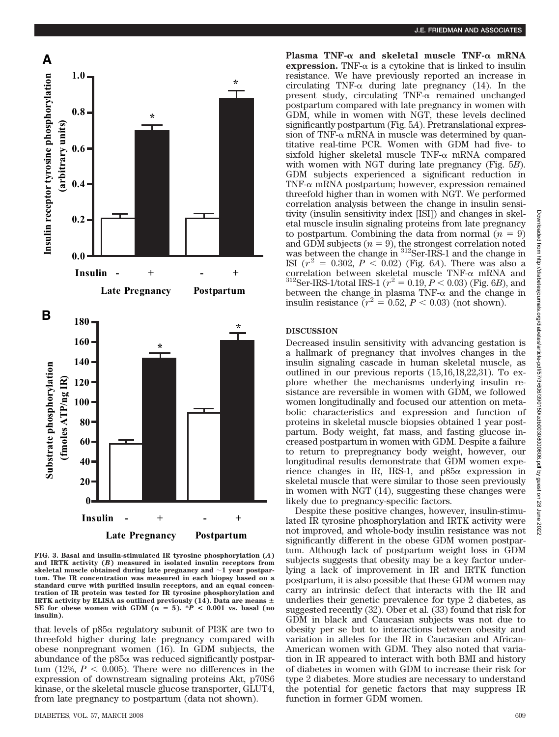

**FIG. 3. Basal and insulin-stimulated IR tyrosine phosphorylation (***A***) and IRTK activity (***B***) measured in isolated insulin receptors from** skeletal muscle obtained during late pregnancy and  $\sim$ 1 year postpar**tum. The IR concentration was measured in each biopsy based on a standard curve with purified insulin receptors, and an equal concentration of IR protein was tested for IR tyrosine phosphorylation and IRTK** activity by ELISA as outlined previously (14). Data are means  $\pm$ SE for obese women with GDM  $(n = 5)$ . \* $P < 0.001$  vs. basal (no **insulin).**

that levels of  $p85\alpha$  regulatory subunit of PI3K are two to threefold higher during late pregnancy compared with obese nonpregnant women (16). In GDM subjects, the abundance of the  $p85\alpha$  was reduced significantly postpartum (12%,  $P < 0.005$ ). There were no differences in the expression of downstream signaling proteins Akt, p70S6 kinase, or the skeletal muscle glucose transporter, GLUT4, from late pregnancy to postpartum (data not shown).

Plasma TNF- $\alpha$  and skeletal muscle TNF- $\alpha$  mRNA **expression.** TNF- $\alpha$  is a cytokine that is linked to insulin resistance. We have previously reported an increase in circulating TNF- $\alpha$  during late pregnancy (14). In the present study, circulating  $TNF-\alpha$  remained unchanged postpartum compared with late pregnancy in women with GDM, while in women with NGT, these levels declined significantly postpartum (Fig. 5*A*). Pretranslational expression of TNF- $\alpha$  mRNA in muscle was determined by quantitative real-time PCR. Women with GDM had five- to sixfold higher skeletal muscle  $TNF-\alpha$  mRNA compared with women with NGT during late pregnancy (Fig. 5*B*). GDM subjects experienced a significant reduction in TNF- $\alpha$  mRNA postpartum; however, expression remained threefold higher than in women with NGT. We performed correlation analysis between the change in insulin sensitivity (insulin sensitivity index [ISI]) and changes in skeletal muscle insulin signaling proteins from late pregnancy to postpartum. Combining the data from normal  $(n = 9)$ and GDM subjects  $(n = 9)$ , the strongest correlation noted was between the change in <sup>312</sup>Ser-IRS-1 and the change in ISI  $(r^2 = 0.302, P < 0.02)$  (Fig. 6*A*). There was also a correlation between skeletal muscle TNF- $\alpha$  mRNA and  $^{312}$ Ser-IRS-1/total IRS-1 ( $r^2 = 0.19, P < 0.03$ ) (Fig. 6*B*), and between the change in plasma TNF- $\alpha$  and the change in insulin resistance  $(r^2 = 0.52, P < 0.03)$  (not shown).

#### **DISCUSSION**

Decreased insulin sensitivity with advancing gestation is a hallmark of pregnancy that involves changes in the insulin signaling cascade in human skeletal muscle, as outlined in our previous reports (15,16,18,22,31). To explore whether the mechanisms underlying insulin resistance are reversible in women with GDM, we followed women longitudinally and focused our attention on metabolic characteristics and expression and function of proteins in skeletal muscle biopsies obtained 1 year postpartum. Body weight, fat mass, and fasting glucose increased postpartum in women with GDM. Despite a failure to return to prepregnancy body weight, however, our longitudinal results demonstrate that GDM women experience changes in IR, IRS-1, and  $p85\alpha$  expression in skeletal muscle that were similar to those seen previously in women with NGT (14), suggesting these changes were likely due to pregnancy-specific factors.

Despite these positive changes, however, insulin-stimulated IR tyrosine phosphorylation and IRTK activity were not improved, and whole-body insulin resistance was not significantly different in the obese GDM women postpartum. Although lack of postpartum weight loss in GDM subjects suggests that obesity may be a key factor underlying a lack of improvement in IR and IRTK function postpartum, it is also possible that these GDM women may carry an intrinsic defect that interacts with the IR and underlies their genetic prevalence for type 2 diabetes, as suggested recently (32). Ober et al. (33) found that risk for GDM in black and Caucasian subjects was not due to obesity per se but to interactions between obesity and variation in alleles for the IR in Caucasian and African-American women with GDM. They also noted that variation in IR appeared to interact with both BMI and history of diabetes in women with GDM to increase their risk for type 2 diabetes. More studies are necessary to understand the potential for genetic factors that may suppress IR function in former GDM women.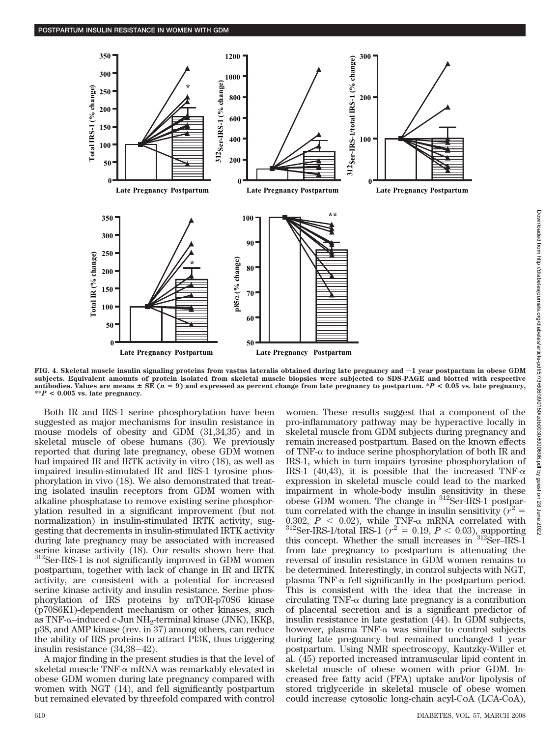

**FIG. 4. Skeletal muscle insulin signaling proteins from vastus lateralis obtained during late pregnancy and 1 year postpartum in obese GDM subjects. Equivalent amounts of protein isolated from skeletal muscle biopsies were subjected to SDS-PAGE and blotted with respective antibodies. Values are means** - **SE (***n* **9) and expressed as percent change from late pregnancy to postpartum. \****P* **< 0.05 vs. late pregnancy, \*\****P* **< 0.005 vs. late pregnancy.**

Both IR and IRS-1 serine phosphorylation have been suggested as major mechanisms for insulin resistance in mouse models of obesity and GDM (31,34,35) and in skeletal muscle of obese humans (36). We previously reported that during late pregnancy, obese GDM women had impaired IR and IRTK activity in vitro (18), as well as impaired insulin-stimulated IR and IRS-1 tyrosine phosphorylation in vivo (18). We also demonstrated that treating isolated insulin receptors from GDM women with alkaline phosphatase to remove existing serine phosphorylation resulted in a significant improvement (but not normalization) in insulin-stimulated IRTK activity, suggesting that decrements in insulin-stimulated IRTK activity during late pregnancy may be associated with increased serine kinase activity (18). Our results shown here that <sup>312</sup>Ser-IRS-1 is not significantly improved in GDM women postpartum, together with lack of change in IR and IRTK activity, are consistent with a potential for increased serine kinase activity and insulin resistance. Serine phosphorylation of IRS proteins by mTOR-p70S6 kinase (p70S6K1)-dependent mechanism or other kinases, such as TNF- $\alpha$ -induced c-Jun NH<sub>2</sub>-terminal kinase (JNK), IKK $\beta$ , p38, and AMP kinase (rev. in 37) among others, can reduce the ability of IRS proteins to attract PI3K, thus triggering insulin resistance (34,38–42).

A major finding in the present studies is that the level of skeletal muscle TNF- $\alpha$  mRNA was remarkably elevated in obese GDM women during late pregnancy compared with women with NGT (14), and fell significantly postpartum but remained elevated by threefold compared with control women. These results suggest that a component of the pro-inflammatory pathway may be hyperactive locally in skeletal muscle from GDM subjects during pregnancy and remain increased postpartum. Based on the known effects of TNF- $\alpha$  to induce serine phosphorylation of both IR and IRS-1, which in turn impairs tyrosine phosphorylation of IRS-1 (40,43), it is possible that the increased TNF- $\alpha$ expression in skeletal muscle could lead to the marked impairment in whole-body insulin sensitivity in these obese GDM women. The change in 312Ser-IRS-1 postpartum correlated with the change in insulin sensitivity  $(r^2)$ 0.302,  $P < 0.02$ ), while TNF- $\alpha$  mRNA correlated with  $^{312}$ Ser-IRS-1/total IRS-1 ( $r^2 = 0.19, P < 0.03$ ), supporting this concept. Whether the small increases in 312Ser–IRS-1 from late pregnancy to postpartum is attenuating the reversal of insulin resistance in GDM women remains to be determined. Interestingly, in control subjects with NGT, plasma TNF- $\alpha$  fell significantly in the postpartum period. This is consistent with the idea that the increase in circulating TNF- $\alpha$  during late pregnancy is a contribution of placental secretion and is a significant predictor of insulin resistance in late gestation (44). In GDM subjects, however, plasma TNF- $\alpha$  was similar to control subjects during late pregnancy but remained unchanged 1 year postpartum. Using NMR spectroscopy, Kautzky-Willer et al. (45) reported increased intramuscular lipid content in skeletal muscle of obese women with prior GDM. Increased free fatty acid (FFA) uptake and/or lipolysis of stored triglyceride in skeletal muscle of obese women could increase cytosolic long-chain acyl-CoA (LCA-CoA),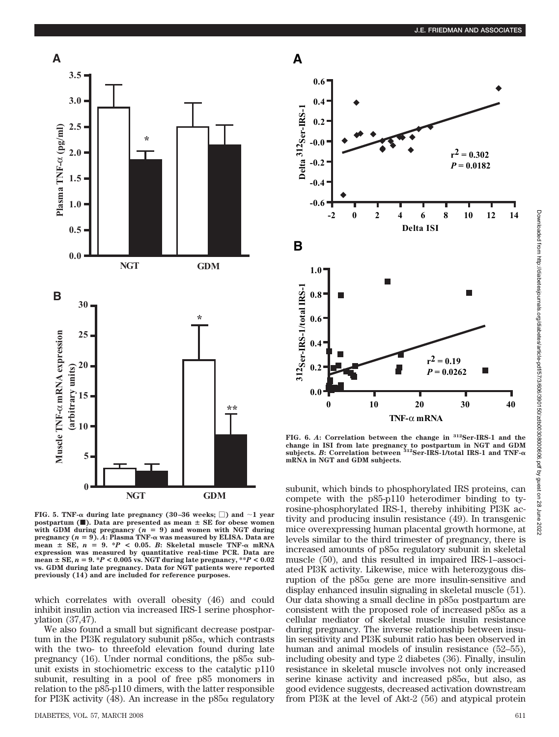

**FIG. 5. TNF-** $\alpha$  **during late pregnancy (30–36 weeks;**  $\Box$ **) and**  $\sim$  **1 year postpartum (** $\blacksquare$ **). Data are presented as mean**  $\pm$  **SE** for obese women with GDM during pregnancy  $(n = 9)$  and women with NGT during **pregnancy**  $(n = 9)$ .  $\vec{A}$ **: Plasma TNF-** $\alpha$  **was measured by ELISA. Data are**  $mean \pm SE$ ,  $n = 9$ . \* $P < 0.05$ . *B*: Skeletal muscle TNF- $\alpha$  mRNA **expression was measured by quantitative real-time PCR. Data are**  $\text{mean} \pm \text{SE}, n = 9. *P < 0.005 \text{ vs. } \text{NGT}$  during late pregnancy,  $**P < 0.02$ **vs. GDM during late pregnancy. Data for NGT patients were reported previously (14) and are included for reference purposes.**

which correlates with overall obesity (46) and could inhibit insulin action via increased IRS-1 serine phosphorylation (37,47).

We also found a small but significant decrease postpartum in the PI3K regulatory subunit  $p85\alpha$ , which contrasts with the two- to threefold elevation found during late pregnancy (16). Under normal conditions, the  $p85\alpha$  subunit exists in stochiometric excess to the catalytic p110 subunit, resulting in a pool of free p85 monomers in relation to the p85-p110 dimers, with the latter responsible for PI3K activity (48). An increase in the  $p85\alpha$  regulatory



**FIG. 6.** *A***: Correlation between the change in 312Ser-IRS-1 and the change in ISI from late pregnancy to postpartum in NGT and GDM subjects.** *B***: Correlation between 312Ser-IRS-1/total IRS-1 and TNF mRNA in NGT and GDM subjects.**

subunit, which binds to phosphorylated IRS proteins, can compete with the p85-p110 heterodimer binding to tyrosine-phosphorylated IRS-1, thereby inhibiting PI3K activity and producing insulin resistance (49). In transgenic mice overexpressing human placental growth hormone, at levels similar to the third trimester of pregnancy, there is increased amounts of  $p85\alpha$  regulatory subunit in skeletal muscle (50), and this resulted in impaired IRS-1–associated PI3K activity. Likewise, mice with heterozygous disruption of the  $p85\alpha$  gene are more insulin-sensitive and display enhanced insulin signaling in skeletal muscle (51). Our data showing a small decline in  $p85\alpha$  postpartum are consistent with the proposed role of increased  $p85\alpha$  as a cellular mediator of skeletal muscle insulin resistance during pregnancy. The inverse relationship between insulin sensitivity and PI3K subunit ratio has been observed in human and animal models of insulin resistance (52–55), including obesity and type 2 diabetes (36). Finally, insulin resistance in skeletal muscle involves not only increased serine kinase activity and increased  $p85\alpha$ , but also, as good evidence suggests, decreased activation downstream from PI3K at the level of Akt-2 (56) and atypical protein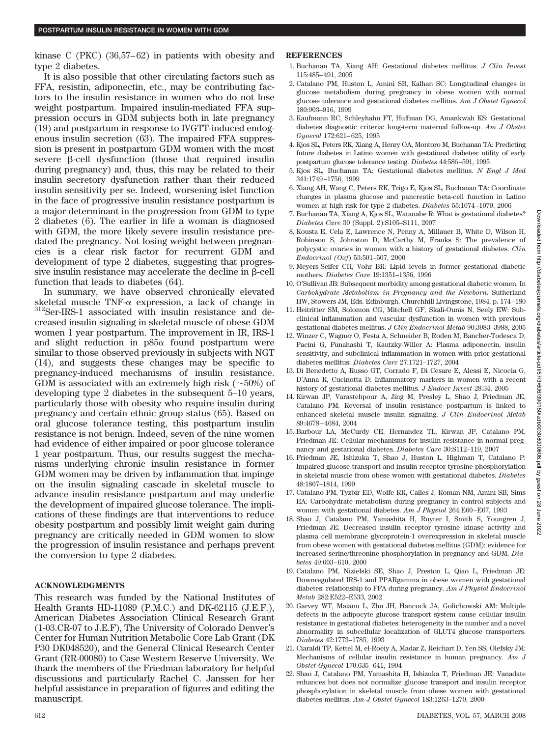kinase C (PKC) (36,57–62) in patients with obesity and type 2 diabetes.

It is also possible that other circulating factors such as FFA, resistin, adiponectin, etc., may be contributing factors to the insulin resistance in women who do not lose weight postpartum. Impaired insulin-mediated FFA suppression occurs in GDM subjects both in late pregnancy (19) and postpartum in response to IVGTT-induced endogenous insulin secretion (63). The impaired FFA suppression is present in postpartum GDM women with the most severe  $\beta$ -cell dysfunction (those that required insulin during pregnancy) and, thus, this may be related to their insulin secretory dysfunction rather than their reduced insulin sensitivity per se. Indeed, worsening islet function in the face of progressive insulin resistance postpartum is a major determinant in the progression from GDM to type 2 diabetes (6). The earlier in life a woman is diagnosed with GDM, the more likely severe insulin resistance predated the pregnancy. Not losing weight between pregnancies is a clear risk factor for recurrent GDM and development of type 2 diabetes, suggesting that progressive insulin resistance may accelerate the decline in  $\beta$ -cell function that leads to diabetes (64).

In summary, we have observed chronically elevated skeletal muscle TNF- $\alpha$  expression, a lack of change in  ${}^{312}$ Ser-IRS-1 associated with insulin resistance and decreased insulin signaling in skeletal muscle of obese GDM women 1 year postpartum. The improvement in IR, IRS-1 and slight reduction in  $p85\alpha$  found postpartum were similar to those observed previously in subjects with NGT (14), and suggests these changes may be specific to pregnancy-induced mechanisms of insulin resistance. GDM is associated with an extremely high risk  $(\sim 50\%)$  of developing type 2 diabetes in the subsequent 5–10 years, particularly those with obesity who require insulin during pregnancy and certain ethnic group status (65). Based on oral glucose tolerance testing, this postpartum insulin resistance is not benign. Indeed, seven of the nine women had evidence of either impaired or poor glucose tolerance 1 year postpartum. Thus, our results suggest the mechanisms underlying chronic insulin resistance in former GDM women may be driven by inflammation that impinge on the insulin signaling cascade in skeletal muscle to advance insulin resistance postpartum and may underlie the development of impaired glucose tolerance. The implications of these findings are that interventions to reduce obesity postpartum and possibly limit weight gain during pregnancy are critically needed in GDM women to slow the progression of insulin resistance and perhaps prevent the conversion to type 2 diabetes.

## **ACKNOWLEDGMENTS**

This research was funded by the National Institutes of Health Grants HD-11089 (P.M.C.) and DK-62115 (J.E.F.), American Diabetes Association Clinical Research Grant (1-03.CR-07 to J.E.F), The University of Colorado Denver's Center for Human Nutrition Metabolic Core Lab Grant (DK P30 DK048520), and the General Clinical Research Center Grant (RR-00080) to Case Western Reserve University. We thank the members of the Friedman laboratory for helpful discussions and particularly Rachel C. Janssen for her helpful assistance in preparation of figures and editing the manuscript.

### **REFERENCES**

- 1. Buchanan TA, Xiang AH: Gestational diabetes mellitus. *J Clin Invest* 115:485–491, 2005
- 2. Catalano PM, Huston L, Amini SB, Kalhan SC: Longitudinal changes in glucose metabolism during pregnancy in obese women with normal glucose tolerance and gestational diabetes mellitus. *Am J Obstet Gynecol* 180:903–916, 1999
- 3. Kaufmann RC, Schleyhahn FT, Huffman DG, Amankwah KS: Gestational diabetes diagnostic criteria: long-term maternal follow-up. *Am J Obstet Gynecol* 172:621–625, 1995
- 4. Kjos SL, Peters RK, Xiang A, Henry OA, Montoro M, Buchanan TA: Predicting future diabetes in Latino women with gestational diabetes: utility of early postpartum glucose tolerance testing. *Diabetes* 44:586–591, 1995
- 5. Kjos SL, Buchanan TA: Gestational diabetes mellitus. *N Engl J Med* 341:1749–1756, 1999
- 6. Xiang AH, Wang C, Peters RK, Trigo E, Kjos SL, Buchanan TA: Coordinate changes in plasma glucose and pancreatic beta-cell function in Latino women at high risk for type 2 diabetes. *Diabetes* 55:1074–1079, 2006
- 7. Buchanan TA, Xiang A, Kjos SL, Watanabe R: What is gestational diabetes? *Diabetes Care* 30 (Suppl. 2):S105–S111, 2007
- 8. Kousta E, Cela E, Lawrence N, Penny A, Millauer B, White D, Wilson H, Robinson S, Johnston D, McCarthy M, Franks S: The prevalence of polycystic ovaries in women with a history of gestational diabetes. *Clin Endocrinol (Oxf*) 53:501–507, 2000
- 9. Meyers-Seifer CH, Vohr BR: Lipid levels in former gestational diabetic mothers. *Diabetes Care* 19:1351–1356, 1996
- 10. O'Sullivan JB: Subsequent morbidity among gestational diabetic women. In *Carbohydrate Metabolism in Pregnancy and the Newborn*. Sutherland HW, Stowers JM, Eds. Edinburgh, Churchhill Livingstone, 1984, p. 174–180
- 11. Heitritter SM, Solomon CG, Mitchell GF, Skali-Ounis N, Seely EW: Subclinical inflammation and vascular dysfunction in women with previous gestational diabetes mellitus. *J Clin Endocrinol Metab* 90:3983–3988, 2005
- 12. Winzer C, Wagner O, Festa A, Schneider B, Roden M, Bancher-Todesca D, Pacini G, Funahashi T, Kautzky-Willer A: Plasma adiponectin, insulin sensitivity, and subclinical inflammation in women with prior gestational diabetes mellitus. *Diabetes Care* 27:1721–1727, 2004
- 13. Di Benedetto A, Russo GT, Corrado F, Di Cesare E, Alessi E, Nicocia G, D'Anna R, Cucinotta D: Inflammatory markers in women with a recent history of gestational diabetes mellitus. *J Endocr Invest* 28:34, 2005
- 14. Kirwan JP, Varastehpour A, Jing M, Presley L, Shao J, Friedman JE, Catalano PM: Reversal of insulin resistance postpartum is linked to enhanced skeletal muscle insulin signaling. *J Clin Endocrinol Metab* 89:4678–4684, 2004
- 15. Barbour LA, McCurdy CE, Hernandez TL, Kirwan JP, Catalano PM, Friedman JE: Cellular mechanisms for insulin resistance in normal pregnancy and gestational diabetes. *Diabetes Care* 30:S112–119, 2007
- 16. Friedman JE, Ishizuka T, Shao J, Huston L, Highman T, Catalano P: Impaired glucose transport and insulin receptor tyrosine phosphorylation in skeletal muscle from obese women with gestational diabetes. *Diabetes* 48:1807–1814, 1999
- 17. Catalano PM, Tyzbir ED, Wolfe RR, Calles J, Roman NM, Amini SB, Sims EA: Carbohydrate metabolism during pregnancy in control subjects and women with gestational diabetes. *Am J Physiol* 264:E60–E67, 1993
- 18. Shao J, Catalano PM, Yamashita H, Ruyter I, Smith S, Youngren J, Friedman JE: Decreased insulin receptor tyrosine kinase activity and plasma cell membrane glycoprotein-1 overexpression in skeletal muscle from obese women with gestational diabetes mellitus (GDM): evidence for increased serine/threonine phosphorylation in pregnancy and GDM. *Diabetes* 49:603–610, 2000
- 19. Catalano PM, Nizielski SE, Shao J, Preston L, Qiao L, Friedman JE: Downregulated IRS-1 and PPARgamma in obese women with gestational diabetes: relationship to FFA during pregnancy. *Am J Physiol Endocrinol Metab* 282:E522–E533, 2002
- 20. Garvey WT, Maianu L, Zhu JH, Hancock JA, Golichowski AM: Multiple defects in the adipocyte glucose transport system cause cellular insulin resistance in gestational diabetes: heterogeneity in the number and a novel abnormality in subcellular localization of GLUT4 glucose transporters. *Diabetes* 42:1773–1785, 1993
- 21. Ciaraldi TP, Kettel M, el-Roeiy A, Madar Z, Reichart D, Yen SS, Olefsky JM: Mechanisms of cellular insulin resistance in human pregnancy. *Am J Obstet Gynecol* 170:635–641, 1994
- 22. Shao J, Catalano PM, Yamashita H, Ishizuka T, Friedman JE: Vanadate enhances but does not normalize glucose transport and insulin receptor phosphorylation in skeletal muscle from obese women with gestational diabetes mellitus. *Am J Obstet Gynecol* 183:1263–1270, 2000